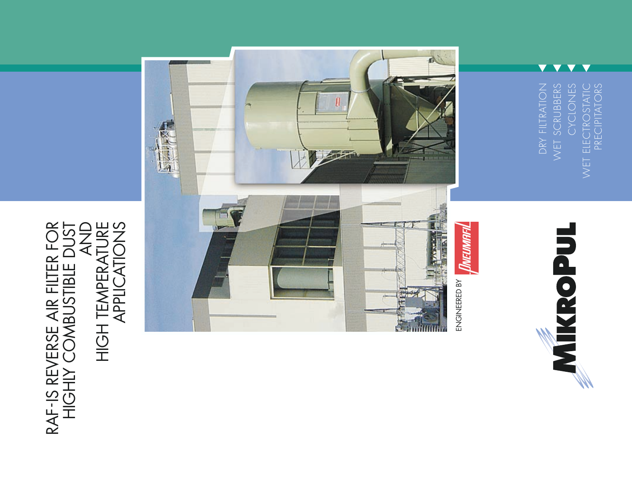AND<br>HIGH TEMPERATURE<br>APPLICATIONS RAF-IS REVERSE AIR FILTER FOR<br>HIGHLY COMBUSTIBLE DUST RAF-IS REVERSE AIR FILTER FOR HIGHLY COMBUSTIBLE DUST HIGH TEMPERATURE APPLICATIONS



wet electrostatic<br>Precipitators DRY FILTRATION WET SCRUBBERS CYCLONES DRY FILTRATION WET SCRUBBERS CYCLONES WET ELECTROSTATIC PRECIPITATORS

 $\overline{\phantom{a}}$  $\blacktriangledown$  $\overline{\phantom{a}}$  $\blacktriangledown$ 

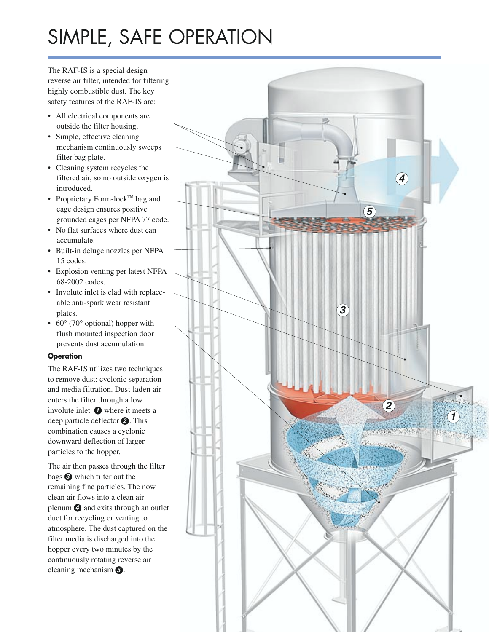#### SIMPLE, SAFE OPERATION

The RAF-IS is a special design reverse air filter, intended for filtering highly combustible dust. The key safety features of the RAF-IS are:

- All electrical components are outside the filter housing.
- Simple, effective cleaning mechanism continuously sweeps filter bag plate.
- Cleaning system recycles the filtered air, so no outside oxygen is introduced.
- Proprietary Form-lock<sup>TM</sup> bag and cage design ensures positive grounded cages per NFPA 77 code.
- No flat surfaces where dust can accumulate.
- Built-in deluge nozzles per NFPA 15 codes.
- Explosion venting per latest NFPA 68-2002 codes.
- Involute inlet is clad with replaceable anti-spark wear resistant plates.
- 60° (70° optional) hopper with flush mounted inspection door prevents dust accumulation.

#### **Operation**

The RAF-IS utilizes two techniques to remove dust: cyclonic separation and media filtration. Dust laden air enters the filter through a low involute inlet  $\bigcirc$  where it meets a deep particle deflector **<sup>2</sup>** . This combination causes a cyclonic downward deflection of larger particles to the hopper.

The air then passes through the filter bags **<sup>3</sup>** which filter out the remaining fine particles. The now clean air flows into a clean air plenum **<sup>4</sup>** and exits through an outlet duct for recycling or venting to atmosphere. The dust captured on the filter media is discharged into the hopper every two minutes by the continuously rotating reverse air cleaning mechanism **5** .

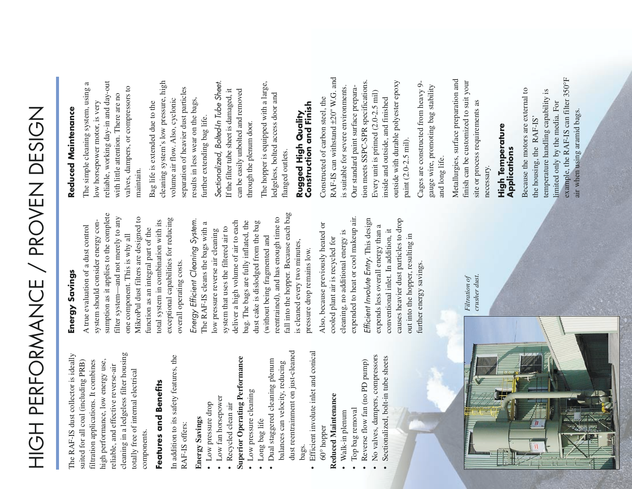# HIGH PERFORMANCE / PROVEN DESIGN HIGH PERFORMANCE / PROVEN DESIGN

cleaning in a ledgeless filter housing cleaning in a ledgeless filter housing The RAF-IS dust collector is ideally The RAF-IS dust collector is ideally suited for all coal (including PRB) filtration applications. It combines high performance, low energy use, high performance, low energy use, suited for all coal (including PRB) filtration applications. It combines reliable, and effective reverse-air reliable, and effective reverse-air totally free of internal electrical totally free of internal electrical components. components.

# Features and Benefits **Features and Benefits**

In addition to its safety features, the In addition to its safety features, the RAF-IS offers: RAF-IS offers:

#### **Energy Savings Energy Savings**

- Low pressure drop • Low pressure drop
- Low fan horsepower • Low fan horsepower
- Recycled clean air • Recycled clean air

# **Superior Operating Performance Superior Operating Performance**

- Low pressure cleaning • Low pressure cleaning
- Dual staggered cleaning plenum • Dual staggered cleaning plenum balances can velocity, reducing balances can velocity, reducing Long bag life • Long bag life
- Efficient involute inlet and conical • Efficient involute inlet and conical 60° hopper bags.

dust reentrainment on just-cleaned

dust reentrainment on just-cleaned

# Reduced Maintenance **Reduced Maintenance**

- Walk-in plenum • Walk-in plenum
- Top bag removal • Top bag removal
- Reverse flow fan (no PD pump) • Reverse flow fan (no PD pump)
- No valves, dampers, compressors • No valves, dampers, compressors
	- Sectionalized, bolt-in tube sheets • Sectionalized, bolt-in tube sheets

## Energy Savings **Energy Savings**

sumption as it applies to the complete sumption as it applies to the complete filter system—and not merely to any filter system—and not merely to any MikroPul dust filters are designed to MikroPul dust filters are designed to exceptional capabilities for reducing exceptional capabilities for reducing total system in combination with its system should consider energy consystem should consider energy contotal system in combination with its A true evaluation of a dust control A true evaluation of a dust control function as an integral part of the function as an integral part of the one component. This is why all one component. This is why all overall operating costs. overall operating costs.

fall into the hopper. Because each bag fall into the hopper. Because each bag reentrained), and has enough time to reentrained), and has enough time to Energy Efficient Cleaning System. Energy Efficient Cleaning System. deliver a high volume of air to each deliver a high volume of air to each bag. The bags are fully inflated, the dust cake is dislodged from the bag The RAF-IS cleans the bags with a bag. The bags are fully inflated, the dust cake is dislodged from the bag The RAF-IS cleans the bags with a system that uses the filtered air to system that uses the filtered air to low pressure reverse air cleaning low pressure reverse air cleaning without being fragmented and (without being fragmented and is cleaned every two minutes, is cleaned every two minutes, pressure drop remains low. pressure drop remains low.

expended to heat or cool makeup air. expended to heat or cool makeup air. Also, because previously heated or Also, because previously heated or cleaning, no additional energy is cleaning, no additional energy is cooled plant air is recycled for cooled plant air is recycled for

Efficient Involute Entry. This design Efficient Involute Entry. This design causes heavier dust particles to drop causes heavier dust particles to drop expends less overall energy than a expends less overall energy than a conventional inlet. In addition, it conventional inlet. In addition, it out into the hopper, resulting in out into the hopper, resulting in further energy savings. further energy savings.



*Filtration of crusher dust.*

# Reduced Maintenance **Reduced Maintenance**

The simple cleaning system, using a reliable, working day-in and day-out reliable, working day-in and day-out The simple cleaning system, using a valves, dampers, or compressors to valves, dampers, or compressors to with little attention. There are no with little attention. There are no low horsepower motor, is very low horsepower motor, is very maintain.

cleaning system's low pressure, high cleaning system's low pressure, high separation of heavier dust particles separation of heavier dust particles volume air flow. Also, cyclonic results in less wear on the bags, volume air flow. Also, cyclonic results in less wear on the bags, Bag life is extended due to the Bag life is extended due to the further extending bag life. further extending bag life. Sectionalized, Bolted-In Tube Sheet. Sectionalized, Bolted-In Tube Sheet. can be easily unbolted and removed If the filter tube sheet is damaged, it If the filter tube sheet is damaged, it can be easily unbolted and removed through the plenum door. through the plenum door. The hopper is equipped with a large, The hopper is equipped with a large, ledgeless, bolted access door and ledgeless, bolted access door and flanged outlets. flanged outlets.

#### Construction and Finish **Construction and Finish** Rugged High Quality **Rugged High Quality**

RAF-IS can withstand ±20" W.G. and RAF-IS can withstand ±20" W.G. and tion meets SSPC-SPR specifications. tion meets SSPC-SPR specifications. outside with durable polyester epoxy outside with durable polyester epoxy is suitable for severe environments. is suitable for severe environments. Our standard paint surface prepara-Our standard paint surface prepara-Every unit is primed (2.0-2.5 mil) Every unit is primed (2.0-2.5 mil) Constructed of carbon steel, the Constructed of carbon steel, the inside and outside, and finished inside and outside, and finished paint (2.0-2.5 mil). paint (2.0-2.5 mil).

Cages are constructed from heavy 9- Cages are constructed from heavy 9gauge wire, promoting bag stability gauge wire, promoting bag stability and long life. and long life. Metallurgies, surface preparation and Metallurgies, surface preparation and finish can be customized to suit your finish can be customized to suit your site or process requirements as site or process requirements as necessary.

#### High Temperature **High Temperature** Applications **Applications**

example, the RAF-IS can filter 350°F example, the RAF-IS can filter 350°F Because the motors are external to Because the motors are external to temperature handling capability is temperature handling capability is limited only by the media. For limited only by the media. For air when using aramid bags. air when using aramid bags. the housing, the RAF-IS' the housing, the RAF-IS'